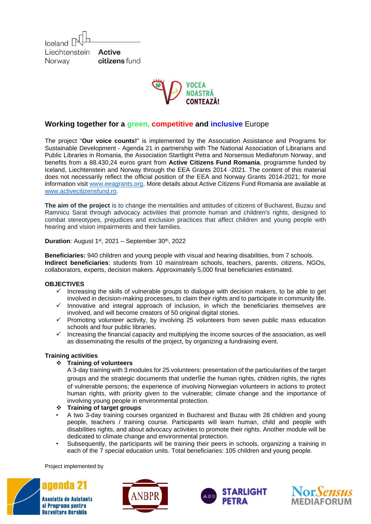Iceland L Liechtenstein **Active** citizens fund Norway



## **Working together for a green, competitive and inclusive** Europe

The project "**Our voice counts!**" is implemented by the Association Assistance and Programs for Sustainable Development - Agenda 21 in partnership with The National Association of Librarians and Public Libraries in Romania, the Association Startlight Petra and Norsensus Mediaforum Norway, and benefits from a 88.430,24 euros grant from **Active Citizens Fund Romania**, programme funded by Iceland, Liechtenstein and Norway through the EEA Grants 2014 -2021. The content of this material does not necessarily reflect the official position of the EEA and Norway Grants 2014-2021; for more information visit [www.eeagrants.org.](http://www.eeagrants.org/) More details about Active Citizens Fund Romania are available at [www.activecitizensfund.ro.](http://www.activecitizensfund.ro/)

**The aim of the project** is to change the mentalities and attitudes of citizens of Bucharest, Buzau and Ramnicu Sarat through advocacy activities that promote human and children's rights, designed to combat stereotypes, prejudices and exclusion practices that affect children and young people with hearing and vision impairments and their families.

**Duration:** August 1<sup>st</sup>, 2021 – September 30<sup>th</sup>, 2022

**Beneficiaries:** 940 children and young people with visual and hearing disabilities, from 7 schools. **Indirect beneficiaries**: students from 10 mainstream schools, teachers, parents, citizens, NGOs, collaborators, experts, decision makers. Approximately 5,000 final beneficiaries estimated.

## **OBJECTIVES**

- $\checkmark$  Increasing the skills of vulnerable groups to dialogue with decision makers, to be able to get involved in decision-making processes, to claim their rights and to participate in community life.
- $\checkmark$  Innovative and integral approach of inclusion, in which the beneficiaries themselves are involved, and will become creators of 50 original digital stories.
- $\checkmark$  Promoting volunteer activity, by involving 25 volunteers from seven public mass education schools and four public libraries.
- $\checkmark$  Increasing the financial capacity and multiplying the income sources of the association, as well as disseminating the results of the project, by organizing a fundraising event.

## **Training activities**

#### ❖ **Training of volunteers**

A 3-day training with 3 modules for 25 volunteers: presentation of the particularities of the target groups and the strategic documents that underlie the human rights, children rights, the rights of vulnerable persons; the experience of involving Norwegian volunteers in actions to protect human rights, with priority given to the vulnerable; climate change and the importance of involving young people in environmental protection.

- ❖ **Training of target groups**
- A two 3-day training courses organized in Bucharest and Buzau with 28 children and young people, teachers / training course. Participants will learn human, child and people with disabilities rights, and about advocacy activities to promote their rights. Another module will be dedicated to climate change and environmental protection.
- Subsequently, the participants will be training their peers in schools, organizing a training in each of the 7 special education units. Total beneficiaries: 105 children and young people.

Project implemented by







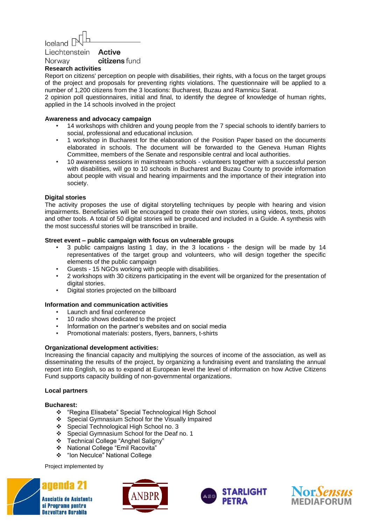# Iceland L

Active Liechtenstein citizens fund Norway

## **Research activities**

Report on citizens' perception on people with disabilities, their rights, with a focus on the target groups of the project and proposals for preventing rights violations. The questionnaire will be applied to a number of 1,200 citizens from the 3 locations: Bucharest, Buzau and Ramnicu Sarat.

2 opinion poll questionnaires, initial and final, to identify the degree of knowledge of human rights, applied in the 14 schools involved in the project

#### **Awareness and advocacy campaign**

- 14 workshops with children and young people from the 7 special schools to identify barriers to social, professional and educational inclusion.
- 1 workshop in Bucharest for the elaboration of the Position Paper based on the documents elaborated in schools. The document will be forwarded to the Geneva Human Rights Committee, members of the Senate and responsible central and local authorities.
- 10 awareness sessions in mainstream schools volunteers together with a successful person with disabilities, will go to 10 schools in Bucharest and Buzau County to provide information about people with visual and hearing impairments and the importance of their integration into society.

### **Digital stories**

The activity proposes the use of digital storytelling techniques by people with hearing and vision impairments. Beneficiaries will be encouraged to create their own stories, using videos, texts, photos and other tools. A total of 50 digital stories will be produced and included in a Guide. A synthesis with the most successful stories will be transcribed in braille.

#### **Street event – public campaign with focus on vulnerable groups**

- 3 public campaigns lasting 1 day, in the 3 locations the design will be made by 14 representatives of the target group and volunteers, who will design together the specific elements of the public campaign
- Guests 15 NGOs working with people with disabilities.
- 2 workshops with 30 citizens participating in the event will be organized for the presentation of digital stories.
- Digital stories projected on the billboard

#### **Information and communication activities**

- Launch and final conference
- 10 radio shows dedicated to the project
- Information on the partner's websites and on social media
- Promotional materials: posters, flyers, banners, t-shirts

#### **Organizational development activities:**

Increasing the financial capacity and multiplying the sources of income of the association, as well as disseminating the results of the project, by organizing a fundraising event and translating the annual report into English, so as to expand at European level the level of information on how Active Citizens Fund supports capacity building of non-governmental organizations.

#### **Local partners**

#### **Bucharest:**

- ❖ "Regina Elisabeta" Special Technological High School
- ❖ Special Gymnasium School for the Visually Impaired
- ❖ Special Technological High School no. 3
- ❖ Special Gymnasium School for the Deaf no. 1
- ❖ Technical College "Anghel Saligny"
- ❖ National College "Emil Racovita"
- ❖ "Ion Neculce" National College

Project implemented by